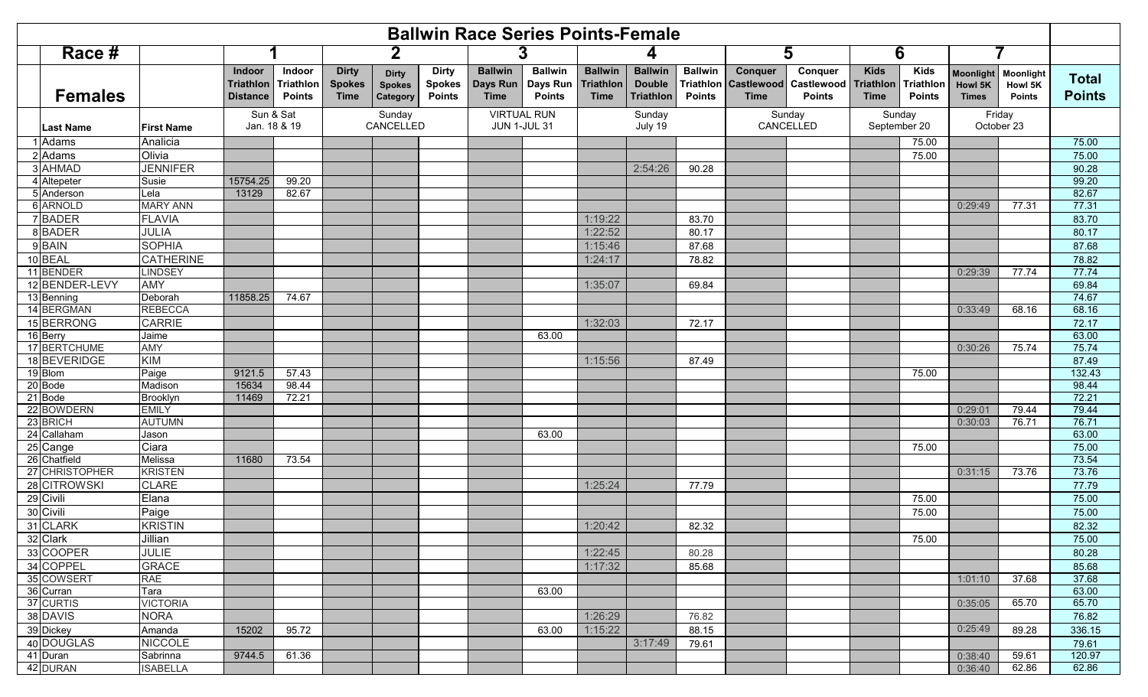| <b>Ballwin Race Series Points-Female</b> |                   |                                               |                                             |                                              |                                           |                                                |                                                  |                                             |                                            |                                                     |                                 |                                                       |                                        |                                                |                                                  |                                             |                                              |                               |
|------------------------------------------|-------------------|-----------------------------------------------|---------------------------------------------|----------------------------------------------|-------------------------------------------|------------------------------------------------|--------------------------------------------------|---------------------------------------------|--------------------------------------------|-----------------------------------------------------|---------------------------------|-------------------------------------------------------|----------------------------------------|------------------------------------------------|--------------------------------------------------|---------------------------------------------|----------------------------------------------|-------------------------------|
| Race #                                   |                   |                                               |                                             | $\mathbf 2$                                  |                                           |                                                |                                                  |                                             |                                            |                                                     |                                 | 5                                                     |                                        | 6                                              |                                                  | 7                                           |                                              |                               |
| <b>Females</b>                           |                   | <b>Indoor</b><br>Triathlon<br><b>Distance</b> | Indoor<br><b>Triathlon</b><br><b>Points</b> | <b>Dirty</b><br><b>Spokes</b><br><b>Time</b> | <b>Dirty</b><br><b>Spokes</b><br>Category | <b>Dirty</b><br><b>Spokes</b><br><b>Points</b> | <b>Ballwin</b><br><b>Days Run</b><br><b>Time</b> | <b>Ballwin</b><br>Days Run<br><b>Points</b> | <b>Ballwin</b><br><b>Triathlon</b><br>Time | <b>Ballwin</b><br><b>Double</b><br><b>Triathlon</b> | <b>Ballwin</b><br><b>Points</b> | Conquer<br><b>Triathion Castlewood</b><br><b>Time</b> | Conquer<br>Castlewood<br><b>Points</b> | <b>Kids</b><br><b>Triathlon</b><br><b>Time</b> | <b>Kids</b><br><b>Triathlon</b><br><b>Points</b> | <b>Moonlight</b><br>Howl 5K<br><b>Times</b> | <b>Moonlight</b><br>Howl 5K<br><b>Points</b> | <b>Total</b><br><b>Points</b> |
| <b>Last Name</b>                         | <b>First Name</b> | Sun & Sat<br>Jan. 18 & 19                     |                                             |                                              | Sunday<br>CANCELLED                       |                                                | <b>VIRTUAL RUN</b><br><b>JUN 1-JUL 31</b>        |                                             | Sunday<br>July 19                          |                                                     |                                 | Sunday<br>CANCELLED                                   |                                        | Sunday<br>September 20                         |                                                  | Friday<br>October 23                        |                                              |                               |
| Adams                                    | Analicia          |                                               |                                             |                                              |                                           |                                                |                                                  |                                             |                                            |                                                     |                                 |                                                       |                                        |                                                | 75.00                                            |                                             |                                              | 75.00                         |
| 2 Adams                                  | Olivia            |                                               |                                             |                                              |                                           |                                                |                                                  |                                             |                                            |                                                     |                                 |                                                       |                                        |                                                | 75.00                                            |                                             |                                              | 75.00                         |
| 3 AHMAD                                  | <b>JENNIFER</b>   |                                               |                                             |                                              |                                           |                                                |                                                  |                                             |                                            | 2:54:26                                             | 90.28                           |                                                       |                                        |                                                |                                                  |                                             |                                              | 90.28                         |
| 4 Altepeter                              | Susie             | 15754.25                                      | 99.20                                       |                                              |                                           |                                                |                                                  |                                             |                                            |                                                     |                                 |                                                       |                                        |                                                |                                                  |                                             |                                              | 99.20                         |
| 5 Anderson                               | Lela              | 13129                                         | 82.67                                       |                                              |                                           |                                                |                                                  |                                             |                                            |                                                     |                                 |                                                       |                                        |                                                |                                                  |                                             |                                              | 82.67                         |
| 6 ARNOLD                                 | <b>MARY ANN</b>   |                                               |                                             |                                              |                                           |                                                |                                                  |                                             |                                            |                                                     |                                 |                                                       |                                        |                                                |                                                  | 0:29:49                                     | 77.31                                        | 77.31                         |
| 7BADER                                   | <b>FLAVIA</b>     |                                               |                                             |                                              |                                           |                                                |                                                  |                                             | 1:19:22                                    |                                                     | 83.70                           |                                                       |                                        |                                                |                                                  |                                             |                                              | 83.70                         |
| 8BADER                                   | JULIA             |                                               |                                             |                                              |                                           |                                                |                                                  |                                             | 1:22:52                                    |                                                     | 80.17                           |                                                       |                                        |                                                |                                                  |                                             |                                              | 80.17                         |
| 9 BAIN                                   | <b>SOPHIA</b>     |                                               |                                             |                                              |                                           |                                                |                                                  |                                             | 1:15:46                                    |                                                     | 87.68                           |                                                       |                                        |                                                |                                                  |                                             |                                              | 87.68                         |
| 10 BEAL                                  | <b>CATHERINE</b>  |                                               |                                             |                                              |                                           |                                                |                                                  |                                             | 1:24:17                                    |                                                     | 78.82                           |                                                       |                                        |                                                |                                                  |                                             |                                              | 78.82                         |
| 11 BENDER                                | <b>LINDSEY</b>    |                                               |                                             |                                              |                                           |                                                |                                                  |                                             |                                            |                                                     |                                 |                                                       |                                        |                                                |                                                  | 0:29:39                                     | 77.74                                        | 77.74                         |
| 12 BENDER-LEVY                           | AMY               |                                               |                                             |                                              |                                           |                                                |                                                  |                                             | 1:35:07                                    |                                                     | 69.84                           |                                                       |                                        |                                                |                                                  |                                             |                                              | 69.84                         |
| 13 Benning                               | Deborah           | 11858.25                                      | 74.67                                       |                                              |                                           |                                                |                                                  |                                             |                                            |                                                     |                                 |                                                       |                                        |                                                |                                                  |                                             |                                              | 74.67                         |
| 14 BERGMAN                               | <b>REBECCA</b>    |                                               |                                             |                                              |                                           |                                                |                                                  |                                             |                                            |                                                     |                                 |                                                       |                                        |                                                |                                                  | 0:33:49                                     | 68.16                                        | 68.16                         |
| 15 BERRONG                               | <b>CARRIE</b>     |                                               |                                             |                                              |                                           |                                                |                                                  |                                             | 1:32:03                                    |                                                     | 72.17                           |                                                       |                                        |                                                |                                                  |                                             |                                              | 72.17                         |
| 16 Berry<br>17 BERTCHUME                 | Jaime             |                                               |                                             |                                              |                                           |                                                |                                                  | 63.00                                       |                                            |                                                     |                                 |                                                       |                                        |                                                |                                                  |                                             |                                              | 63.00<br>75.74                |
| 18 BEVERIDGE                             | <b>AMY</b><br>KIM |                                               |                                             |                                              |                                           |                                                |                                                  |                                             | 1:15:56                                    |                                                     |                                 |                                                       |                                        |                                                |                                                  | 0:30:26                                     | 75.74                                        | 87.49                         |
| 19 Blom                                  | Paige             | 9121.5                                        | 57.43                                       |                                              |                                           |                                                |                                                  |                                             |                                            |                                                     | 87.49                           |                                                       |                                        |                                                | 75.00                                            |                                             |                                              | 132.43                        |
| 20 Bode                                  | Madison           | 15634                                         | 98.44                                       |                                              |                                           |                                                |                                                  |                                             |                                            |                                                     |                                 |                                                       |                                        |                                                |                                                  |                                             |                                              | 98.44                         |
| 21 Bode                                  | Brooklyn          | 11469                                         | 72.21                                       |                                              |                                           |                                                |                                                  |                                             |                                            |                                                     |                                 |                                                       |                                        |                                                |                                                  |                                             |                                              | 72.21                         |
| 22 BOWDERN                               | <b>EMILY</b>      |                                               |                                             |                                              |                                           |                                                |                                                  |                                             |                                            |                                                     |                                 |                                                       |                                        |                                                |                                                  | 0:29:01                                     | 79.44                                        | 79.44                         |
| 23 BRICH                                 | <b>AUTUMN</b>     |                                               |                                             |                                              |                                           |                                                |                                                  |                                             |                                            |                                                     |                                 |                                                       |                                        |                                                |                                                  | 0:30:03                                     | 76.71                                        | 76.71                         |
| 24 Callaham                              | Jason             |                                               |                                             |                                              |                                           |                                                |                                                  | 63.00                                       |                                            |                                                     |                                 |                                                       |                                        |                                                |                                                  |                                             |                                              | 63.00                         |
| 25 Cange                                 | Ciara             |                                               |                                             |                                              |                                           |                                                |                                                  |                                             |                                            |                                                     |                                 |                                                       |                                        |                                                | 75.00                                            |                                             |                                              | 75.00                         |
| 26 Chatfield                             | Melissa           | 11680                                         | 73.54                                       |                                              |                                           |                                                |                                                  |                                             |                                            |                                                     |                                 |                                                       |                                        |                                                |                                                  |                                             |                                              | 73.54                         |
| 27 CHRISTOPHER                           | <b>KRISTEN</b>    |                                               |                                             |                                              |                                           |                                                |                                                  |                                             |                                            |                                                     |                                 |                                                       |                                        |                                                |                                                  | 0:31:15                                     | 73.76                                        | 73.76                         |
| 28 CITROWSKI                             | <b>CLARE</b>      |                                               |                                             |                                              |                                           |                                                |                                                  |                                             | 1:25:24                                    |                                                     | 77.79                           |                                                       |                                        |                                                |                                                  |                                             |                                              | 77.79                         |
| 29 Civili                                | Elana             |                                               |                                             |                                              |                                           |                                                |                                                  |                                             |                                            |                                                     |                                 |                                                       |                                        |                                                | 75.00                                            |                                             |                                              | 75.00                         |
| 30 Civili                                | Paige             |                                               |                                             |                                              |                                           |                                                |                                                  |                                             |                                            |                                                     |                                 |                                                       |                                        |                                                | 75.00                                            |                                             |                                              | 75.00                         |
| 31 CLARK                                 | <b>KRISTIN</b>    |                                               |                                             |                                              |                                           |                                                |                                                  |                                             | 1:20:42                                    |                                                     | 82.32                           |                                                       |                                        |                                                |                                                  |                                             |                                              | 82.32                         |
| 32 Clark                                 | Jillian           |                                               |                                             |                                              |                                           |                                                |                                                  |                                             |                                            |                                                     |                                 |                                                       |                                        |                                                | 75.00                                            |                                             |                                              | 75.00                         |
| 33 COOPER                                | <b>JULIE</b>      |                                               |                                             |                                              |                                           |                                                |                                                  |                                             | 1:22:45                                    |                                                     | 80.28                           |                                                       |                                        |                                                |                                                  |                                             |                                              | 80.28                         |
| 34 COPPEL                                | <b>GRACE</b>      |                                               |                                             |                                              |                                           |                                                |                                                  |                                             | 1:17:32                                    |                                                     | 85.68                           |                                                       |                                        |                                                |                                                  |                                             |                                              | 85.68                         |
| 35 COWSERT                               | <b>RAE</b>        |                                               |                                             |                                              |                                           |                                                |                                                  |                                             |                                            |                                                     |                                 |                                                       |                                        |                                                |                                                  | 1:01:10                                     | 37.68                                        | 37.68                         |
| 36 Curran                                | Tara              |                                               |                                             |                                              |                                           |                                                |                                                  | 63.00                                       |                                            |                                                     |                                 |                                                       |                                        |                                                |                                                  |                                             |                                              | 63.00                         |
| 37 CURTIS                                | <b>VICTORIA</b>   |                                               |                                             |                                              |                                           |                                                |                                                  |                                             |                                            |                                                     |                                 |                                                       |                                        |                                                |                                                  | 0:35:05                                     | 65.70                                        | 65.70                         |
| 38 DAVIS                                 | <b>NORA</b>       |                                               |                                             |                                              |                                           |                                                |                                                  |                                             | 1:26:29                                    |                                                     | 76.82                           |                                                       |                                        |                                                |                                                  |                                             |                                              | 76.82                         |
| 39 Dickey                                | Amanda            | 15202                                         | 95.72                                       |                                              |                                           |                                                |                                                  | 63.00                                       | 1:15:22                                    |                                                     | 88.15                           |                                                       |                                        |                                                |                                                  | 0:25:49                                     | 89.28                                        | 336.15                        |
| 40 DOUGLAS                               | <b>NICCOLE</b>    |                                               |                                             |                                              |                                           |                                                |                                                  |                                             |                                            | 3:17:49                                             | 79.61                           |                                                       |                                        |                                                |                                                  |                                             |                                              | 79.61                         |
| 41 Duran                                 | Sabrinna          | 9744.5                                        | 61.36                                       |                                              |                                           |                                                |                                                  |                                             |                                            |                                                     |                                 |                                                       |                                        |                                                |                                                  | 0:38:40                                     | 59.61                                        | 120.97                        |
| 42 DURAN                                 | <b>ISABELLA</b>   |                                               |                                             |                                              |                                           |                                                |                                                  |                                             |                                            |                                                     |                                 |                                                       |                                        |                                                |                                                  | 0:36:40                                     | 62.86                                        | 62.86                         |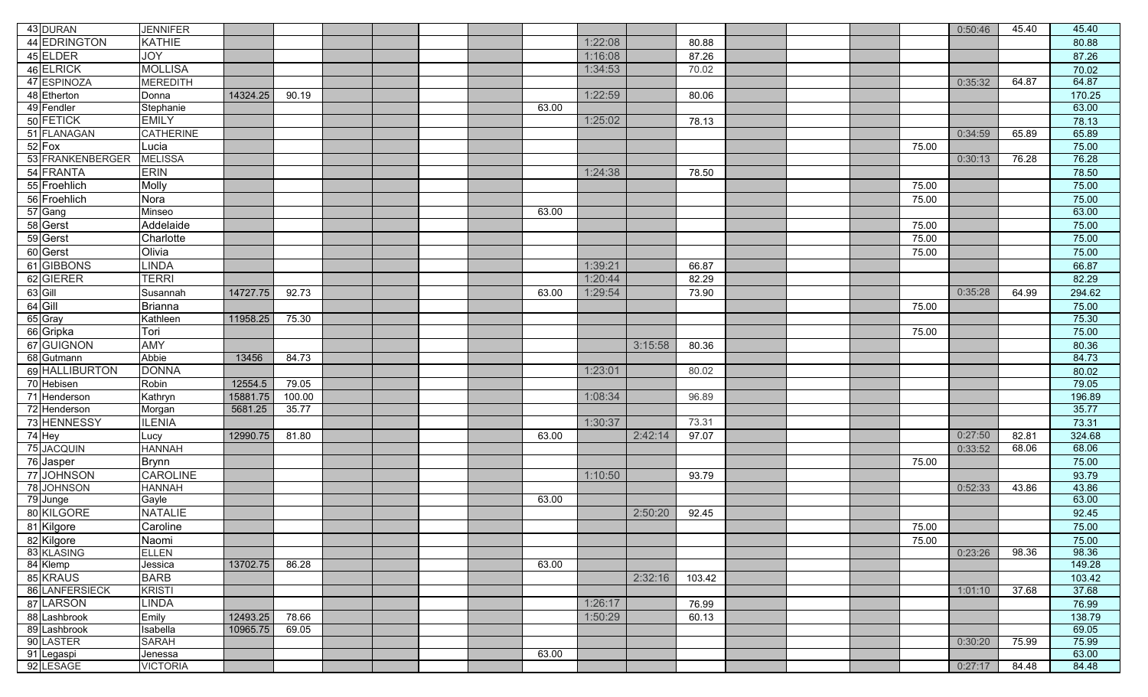| 43 DURAN                  | <b>JENNIFER</b>          |          |        |  |  |       |         |         |        |  |       | 0:50:46 | 45.40 | 45.40           |
|---------------------------|--------------------------|----------|--------|--|--|-------|---------|---------|--------|--|-------|---------|-------|-----------------|
| 44 EDRINGTON              | <b>KATHIE</b>            |          |        |  |  |       | 1:22:08 |         | 80.88  |  |       |         |       | 80.88           |
| 45 ELDER                  | <b>JOY</b>               |          |        |  |  |       | 1:16:08 |         | 87.26  |  |       |         |       | 87.26           |
| 46 ELRICK                 | <b>MOLLISA</b>           |          |        |  |  |       | 1:34:53 |         | 70.02  |  |       |         |       | 70.02           |
| 47 ESPINOZA               | <b>MEREDITH</b>          |          |        |  |  |       |         |         |        |  |       | 0:35:32 | 64.87 | 64.87           |
| 48 Etherton               | Donna                    | 14324.25 | 90.19  |  |  |       | 1:22:59 |         | 80.06  |  |       |         |       | 170.25          |
| 49 Fendler                | Stephanie                |          |        |  |  | 63.00 |         |         |        |  |       |         |       | 63.00           |
| 50 FETICK                 | <b>EMILY</b>             |          |        |  |  |       | 1:25:02 |         | 78.13  |  |       |         |       | 78.13           |
| 51 FLANAGAN               | <b>CATHERINE</b>         |          |        |  |  |       |         |         |        |  |       | 0:34:59 | 65.89 | 65.89           |
| 52 Fox                    | Lucia                    |          |        |  |  |       |         |         |        |  | 75.00 |         |       | 75.00           |
| 53 FRANKENBERGER          | <b>MELISSA</b>           |          |        |  |  |       |         |         |        |  |       | 0:30:13 | 76.28 | 76.28           |
| 54 FRANTA                 | <b>ERIN</b>              |          |        |  |  |       | 1:24:38 |         | 78.50  |  |       |         |       | 78.50           |
| 55 Froehlich              | Molly                    |          |        |  |  |       |         |         |        |  | 75.00 |         |       | 75.00           |
| 56 Froehlich              | Nora                     |          |        |  |  |       |         |         |        |  | 75.00 |         |       | 75.00           |
| 57 Gang                   | Minseo                   |          |        |  |  | 63.00 |         |         |        |  |       |         |       | 63.00           |
| 58 Gerst                  | Addelaide                |          |        |  |  |       |         |         |        |  | 75.00 |         |       | 75.00           |
| 59 Gerst                  | Charlotte                |          |        |  |  |       |         |         |        |  | 75.00 |         |       | 75.00           |
| 60 Gerst                  | Olivia                   |          |        |  |  |       |         |         |        |  | 75.00 |         |       | 75.00           |
| 61 GIBBONS                | <b>INDA</b>              |          |        |  |  |       | 1:39:21 |         | 66.87  |  |       |         |       | 66.87           |
| 62 GIERER                 | <b>FERRI</b>             |          |        |  |  |       | 1:20:44 |         | 82.29  |  |       |         |       | 82.29           |
| 63 Gill                   | Susannah                 | 14727.75 | 92.73  |  |  | 63.00 | 1:29:54 |         | 73.90  |  |       | 0:35:28 | 64.99 | 294.62          |
| $64$ Gill                 | <b>Brianna</b>           |          |        |  |  |       |         |         |        |  | 75.00 |         |       | 75.00           |
| 65 Gray                   | Kathleen                 | 11958.25 | 75.30  |  |  |       |         |         |        |  |       |         |       | 75.30           |
| 66 Gripka                 | Tori                     |          |        |  |  |       |         |         |        |  | 75.00 |         |       | 75.00           |
| 67 GUIGNON                | <b>AMY</b>               |          |        |  |  |       |         | 3:15:58 | 80.36  |  |       |         |       | 80.36           |
| 68 Gutmann                | <b>Abbie</b>             | 13456    | 84.73  |  |  |       |         |         |        |  |       |         |       | 84.73           |
| 69 HALLIBURTON            | <b>DONNA</b>             |          |        |  |  |       | 1:23:01 |         | 80.02  |  |       |         |       | 80.02           |
| 70 Hebisen                | Robin                    | 12554.5  | 79.05  |  |  |       |         |         |        |  |       |         |       | 79.05           |
| 71 Henderson              | Kathryn                  | 15881.75 | 100.00 |  |  |       | 1:08:34 |         | 96.89  |  |       |         |       | 196.89          |
| 72 Henderson              | Morgan                   | 5681.25  | 35.77  |  |  |       |         |         |        |  |       |         |       | 35.77           |
| 73 HENNESSY               | LENIA                    |          |        |  |  |       | 1:30:37 |         | 73.31  |  |       |         |       | 73.31           |
| 74 Hey                    | ucy.                     | 12990.75 | 81.80  |  |  | 63.00 |         | 2:42:14 | 97.07  |  |       | 0:27:50 | 82.81 | 324.68          |
| 75 JACQUIN                | HANNAH                   |          |        |  |  |       |         |         |        |  |       | 0:33:52 | 68.06 | 68.06           |
| 76 Jasper                 | Brynn                    |          |        |  |  |       |         |         |        |  | 75.00 |         |       | 75.00           |
| 77 JOHNSON                | <b>CAROLINE</b>          |          |        |  |  |       | 1:10:50 |         | 93.79  |  |       |         |       | 93.79           |
| 78 JOHNSON                | HANNAH                   |          |        |  |  |       |         |         |        |  |       | 0:52:33 | 43.86 | 43.86           |
| 79 Junge                  | Gayle                    |          |        |  |  | 63.00 |         |         |        |  |       |         |       | 63.00           |
| 80 KILGORE                | NATALIE                  |          |        |  |  |       |         | 2:50:20 | 92.45  |  |       |         |       | 92.45           |
| 81 Kilgore                | Caroline                 |          |        |  |  |       |         |         |        |  | 75.00 |         |       | 75.00           |
| 82 Kilgore                | Naomi                    |          |        |  |  |       |         |         |        |  | 75.00 |         |       | 75.00           |
| 83 KLASING                | ELLEN                    |          |        |  |  |       |         |         |        |  |       | 0:23:26 | 98.36 | 98.36           |
| 84 Klemp                  | Jessica                  | 13702.75 | 86.28  |  |  | 63.00 |         |         |        |  |       |         |       | 149.28          |
| 85 KRAUS                  | <b>BARB</b>              |          |        |  |  |       |         | 2:32:16 | 103.42 |  |       |         |       | 103.42<br>37.68 |
| 86 LANFERSIECK            | <b>KRISTI</b>            |          |        |  |  |       |         |         |        |  |       | 1:01:10 | 37.68 |                 |
| 87 LARSON                 | <b>INDA</b>              |          |        |  |  |       | 1:26:17 |         | 76.99  |  |       |         |       | 76.99           |
| 88 Lashbrook              | Emily                    | 12493.25 | 78.66  |  |  |       | 1:50:29 |         | 60.13  |  |       |         |       | 138.79          |
| 89 Lashbrook<br>90 LASTER | Isabella<br><b>SARAH</b> | 10965.75 | 69.05  |  |  |       |         |         |        |  |       | 0:30:20 | 75.99 | 69.05<br>75.99  |
| 91 Legaspi                | Jenessa                  |          |        |  |  | 63.00 |         |         |        |  |       |         |       | 63.00           |
| 92 LESAGE                 | <b>VICTORIA</b>          |          |        |  |  |       |         |         |        |  |       | 0:27:17 | 84.48 | 84.48           |
|                           |                          |          |        |  |  |       |         |         |        |  |       |         |       |                 |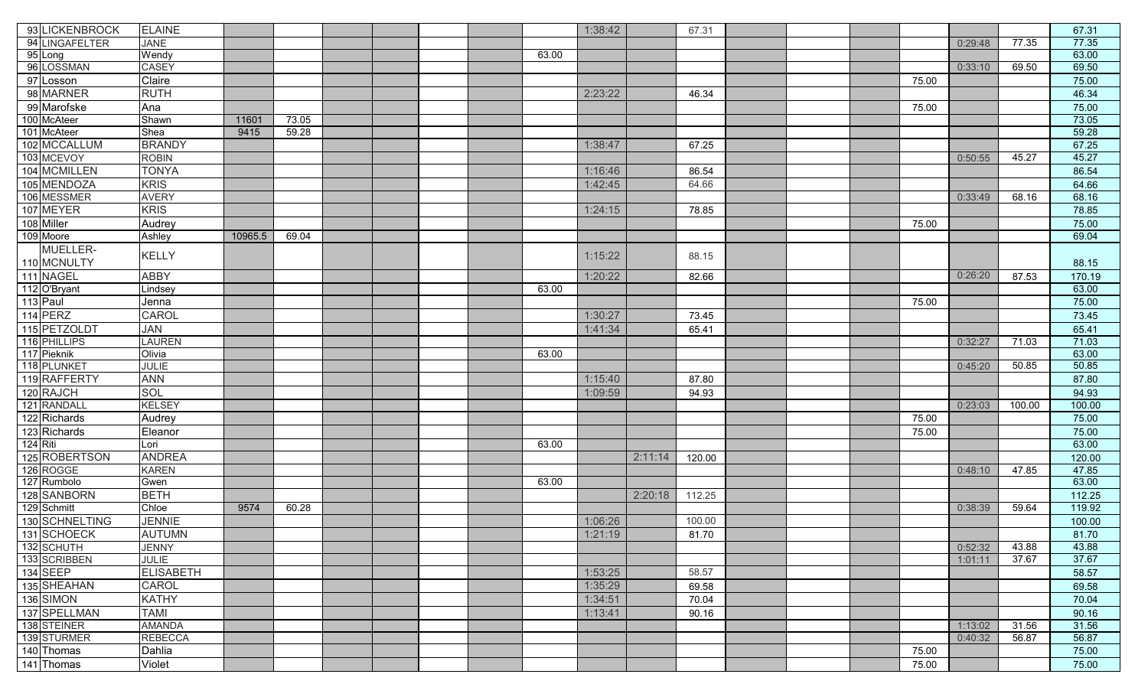| 93 LICKENBROCK  | <b>ELAINE</b>    |         |       |  |       | 1:38:42 |         | 67.31  |  |       |         |        | 67.31  |
|-----------------|------------------|---------|-------|--|-------|---------|---------|--------|--|-------|---------|--------|--------|
| 94 LINGAFELTER  | <b>JANE</b>      |         |       |  |       |         |         |        |  |       | 0:29:48 | 77.35  | 77.35  |
| 95 Long         | Wendy            |         |       |  | 63.00 |         |         |        |  |       |         |        | 63.00  |
| 96 LOSSMAN      | <b>CASEY</b>     |         |       |  |       |         |         |        |  |       | 0:33:10 | 69.50  | 69.50  |
| 97 Losson       | Claire           |         |       |  |       |         |         |        |  | 75.00 |         |        | 75.00  |
| 98 MARNER       | <b>RUTH</b>      |         |       |  |       | 2:23:22 |         | 46.34  |  |       |         |        | 46.34  |
| 99 Marofske     | Ana              |         |       |  |       |         |         |        |  | 75.00 |         |        | 75.00  |
| 100 McAteer     | Shawn            | 11601   | 73.05 |  |       |         |         |        |  |       |         |        | 73.05  |
| 101 McAteer     | Shea             | 9415    | 59.28 |  |       |         |         |        |  |       |         |        | 59.28  |
| 102 MCCALLUM    | <b>BRANDY</b>    |         |       |  |       | 1:38:47 |         | 67.25  |  |       |         |        | 67.25  |
| 103 MCEVOY      | <b>ROBIN</b>     |         |       |  |       |         |         |        |  |       | 0:50:55 | 45.27  | 45.27  |
| 104 MCMILLEN    | <b>TONYA</b>     |         |       |  |       | 1:16:46 |         | 86.54  |  |       |         |        | 86.54  |
| 105 MENDOZA     | <b>KRIS</b>      |         |       |  |       | 1:42:45 |         | 64.66  |  |       |         |        | 64.66  |
| 106 MESSMER     | <b>AVERY</b>     |         |       |  |       |         |         |        |  |       | 0:33:49 | 68.16  | 68.16  |
| 107 MEYER       | <b>KRIS</b>      |         |       |  |       | 1:24:15 |         | 78.85  |  |       |         |        | 78.85  |
| 108 Miller      | Audrey           |         |       |  |       |         |         |        |  | 75.00 |         |        | 75.00  |
| 109 Moore       | Ashley           | 10965.5 | 69.04 |  |       |         |         |        |  |       |         |        | 69.04  |
| MUELLER-        |                  |         |       |  |       |         |         |        |  |       |         |        |        |
| 110 MCNULTY     | KELLY            |         |       |  |       | 1:15:22 |         | 88.15  |  |       |         |        | 88.15  |
| 111 NAGEL       | <b>ABBY</b>      |         |       |  |       | 1:20:22 |         | 82.66  |  |       | 0:26:20 | 87.53  | 170.19 |
| 112 O'Bryant    | Lindsey          |         |       |  | 63.00 |         |         |        |  |       |         |        | 63.00  |
| 113 Paul        | Jenna            |         |       |  |       |         |         |        |  | 75.00 |         |        | 75.00  |
| 114 PERZ        | CAROL            |         |       |  |       | 1:30:27 |         | 73.45  |  |       |         |        | 73.45  |
| 115 PETZOLDT    | JAN              |         |       |  |       | 1:41:34 |         | 65.41  |  |       |         |        | 65.41  |
| 116 PHILLIPS    | LAUREN           |         |       |  |       |         |         |        |  |       | 0:32:27 | 71.03  | 71.03  |
| 117 Pieknik     | Olivia           |         |       |  | 63.00 |         |         |        |  |       |         |        | 63.00  |
| 118 PLUNKET     | <b>JULIE</b>     |         |       |  |       |         |         |        |  |       | 0:45:20 | 50.85  | 50.85  |
| 119 RAFFERTY    | <b>ANN</b>       |         |       |  |       | 1:15:40 |         | 87.80  |  |       |         |        | 87.80  |
| 120 RAJCH       | SOL              |         |       |  |       | 1:09:59 |         | 94.93  |  |       |         |        | 94.93  |
| 121 RANDALL     | <b>KELSEY</b>    |         |       |  |       |         |         |        |  |       | 0:23:03 | 100.00 | 100.00 |
| 122 Richards    | Audrey           |         |       |  |       |         |         |        |  | 75.00 |         |        | 75.00  |
| 123 Richards    | Eleanor          |         |       |  |       |         |         |        |  | 75.00 |         |        | 75.00  |
| 124 Riti        | Lori             |         |       |  | 63.00 |         |         |        |  |       |         |        | 63.00  |
| 125 ROBERTSON   | <b>ANDREA</b>    |         |       |  |       |         | 2:11:14 | 120.00 |  |       |         |        | 120.00 |
| 126 ROGGE       | <b>KAREN</b>     |         |       |  |       |         |         |        |  |       | 0:48:10 | 47.85  | 47.85  |
| 127 Rumbolo     | Gwen             |         |       |  | 63.00 |         |         |        |  |       |         |        | 63.00  |
| 128 SANBORN     | <b>BETH</b>      |         |       |  |       |         | 2:20:18 | 112.25 |  |       |         |        | 112.25 |
| 129 Schmitt     | Chloe            | 9574    | 60.28 |  |       |         |         |        |  |       | 0:38:39 | 59.64  | 119.92 |
| 130 SCHNELTING  | <b>JENNIE</b>    |         |       |  |       | 1:06:26 |         | 100.00 |  |       |         |        | 100.00 |
| 131 SCHOECK     | <b>AUTUMN</b>    |         |       |  |       | 1:21:19 |         | 81.70  |  |       |         |        | 81.70  |
| 132 SCHUTH      | <b>JENNY</b>     |         |       |  |       |         |         |        |  |       | 0:52:32 | 43.88  | 43.88  |
| 133 SCRIBBEN    | <b>JULIE</b>     |         |       |  |       |         |         |        |  |       | 1:01:11 | 37.67  | 37.67  |
| <b>134 SEEP</b> | <b>ELISABETH</b> |         |       |  |       | 1:53:25 |         | 58.57  |  |       |         |        | 58.57  |
| 135 SHEAHAN     | <b>CAROL</b>     |         |       |  |       | 1:35:29 |         | 69.58  |  |       |         |        | 69.58  |
| 136 SIMON       | <b>KATHY</b>     |         |       |  |       | 1:34:51 |         | 70.04  |  |       |         |        | 70.04  |
| 137 SPELLMAN    | <b>TAMI</b>      |         |       |  |       | 1:13:41 |         | 90.16  |  |       |         |        | 90.16  |
| 138 STEINER     | <b>AMANDA</b>    |         |       |  |       |         |         |        |  |       | 1:13:02 | 31.56  | 31.56  |
| 139 STURMER     | <b>REBECCA</b>   |         |       |  |       |         |         |        |  |       | 0:40:32 | 56.87  | 56.87  |
| 140 Thomas      | Dahlia           |         |       |  |       |         |         |        |  | 75.00 |         |        | 75.00  |
| 141 Thomas      | Violet           |         |       |  |       |         |         |        |  | 75.00 |         |        | 75.00  |
|                 |                  |         |       |  |       |         |         |        |  |       |         |        |        |